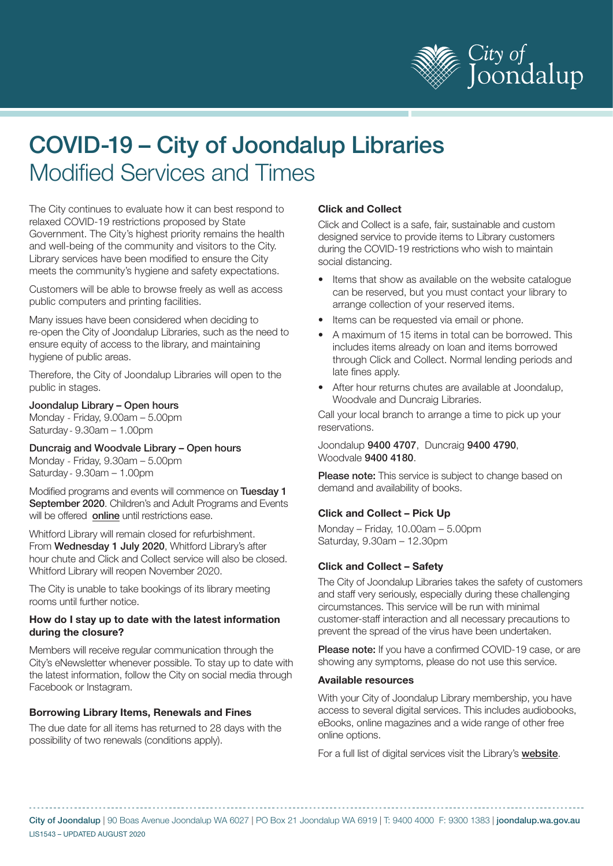

# COVID-19 – City of Joondalup Libraries Modified Services and Times

The City continues to evaluate how it can best respond to relaxed COVID-19 restrictions proposed by State Government. The City's highest priority remains the health and well-being of the community and visitors to the City. Library services have been modified to ensure the City meets the community's hygiene and safety expectations.

Customers will be able to browse freely as well as access public computers and printing facilities.

Many issues have been considered when deciding to re-open the City of Joondalup Libraries, such as the need to ensure equity of access to the library, and maintaining hygiene of public areas.

Therefore, the City of Joondalup Libraries will open to the public in stages.

#### Joondalup Library – Open hours

Monday - Friday, 9.00am – 5.00pm Saturday-9.30am – 1.00pm

Duncraig and Woodvale Library – Open hours Monday - Friday, 9.30am – 5.00pm

Saturday - 9.30am – 1.00pm

Modified programs and events will commence on Tuesday 1 September 2020. Children's and Adult Programs and Events will be offered [online](https://www.joondalup.wa.gov.au/category/covid/libraries-online) until restrictions ease.

Whitford Library will remain closed for refurbishment. From Wednesday 1 July 2020, Whitford Library's after hour chute and Click and Collect service will also be closed. Whitford Library will reopen November 2020.

The City is unable to take bookings of its library meeting rooms until further notice.

#### **How do I stay up to date with the latest information during the closure?**

Members will receive regular communication through the City's eNewsletter whenever possible. To stay up to date with the latest information, follow the City on social media through Facebook or Instagram.

# **Borrowing Library Items, Renewals and Fines**

The due date for all items has returned to 28 days with the possibility of two renewals (conditions apply).

## **Click and Collect**

Click and Collect is a safe, fair, sustainable and custom designed service to provide items to Library customers during the COVID-19 restrictions who wish to maintain social distancing.

- Items that show as available on the website catalogue can be reserved, but you must contact your library to arrange collection of your reserved items.
- Items can be requested via email or phone.
- A maximum of 15 items in total can be borrowed. This includes items already on loan and items borrowed through Click and Collect. Normal lending periods and late fines apply.
- After hour returns chutes are available at Joondalup, Woodvale and Duncraig Libraries.

Call your local branch to arrange a time to pick up your reservations.

Joondalup 9400 4707, Duncraig 9400 4790, Woodvale 9400 4180.

**Please note:** This service is subject to change based on demand and availability of books.

#### **Click and Collect – Pick Up**

Monday – Friday, 10.00am – 5.00pm Saturday, 9.30am – 12.30pm

#### **Click and Collect – Safety**

The City of Joondalup Libraries takes the safety of customers and staff very seriously, especially during these challenging circumstances. This service will be run with minimal customer-staff interaction and all necessary precautions to prevent the spread of the virus have been undertaken.

Please note: If you have a confirmed COVID-19 case, or are showing any symptoms, please do not use this service.

#### **Available resources**

With your City of Joondalup Library membership, you have access to several digital services. This includes audiobooks, eBooks, online magazines and a wide range of other free online options.

For a full list of digital services visit the Library's [website](https://www.joondalup.wa.gov.au/category/libraries-online).

City of Joondalup | 90 Boas Avenue Joondalup WA 6027 | PO Box 21 Joondalup WA 6919 | T: 9400 4000 F: 9300 1383 | joondalup.wa.gov.au LIS1543 – UPDATED AUGUST 2020